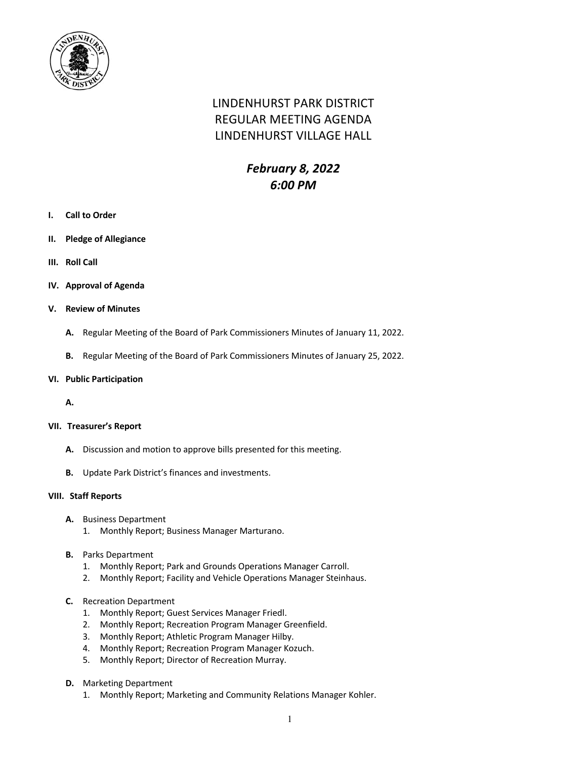

# LINDENHURST PARK DISTRICT REGULAR MEETING AGENDA LINDENHURST VILLAGE HALL

## *February 8, 2022 6:00 PM*

- **I. Call to Order**
- **II. Pledge of Allegiance**
- **III. Roll Call**
- **IV. Approval of Agenda**
- **V. Review of Minutes**
	- **A.** Regular Meeting of the Board of Park Commissioners Minutes of January 11, 2022.
	- **B.** Regular Meeting of the Board of Park Commissioners Minutes of January 25, 2022.
- **VI. Public Participation**
	- **A.**

#### **VII. Treasurer's Report**

- **A.** Discussion and motion to approve bills presented for this meeting.
- **B.** Update Park District's finances and investments.

#### **VIII. Staff Reports**

- **A.** Business Department
	- 1. Monthly Report; Business Manager Marturano.
- **B.** Parks Department
	- 1. Monthly Report; Park and Grounds Operations Manager Carroll.
	- 2. Monthly Report; Facility and Vehicle Operations Manager Steinhaus.
- **C.** Recreation Department
	- 1. Monthly Report; Guest Services Manager Friedl.
	- 2. Monthly Report; Recreation Program Manager Greenfield.
	- 3. Monthly Report; Athletic Program Manager Hilby.
	- 4. Monthly Report; Recreation Program Manager Kozuch.
	- 5. Monthly Report; Director of Recreation Murray.
- **D.** Marketing Department
	- 1. Monthly Report; Marketing and Community Relations Manager Kohler.